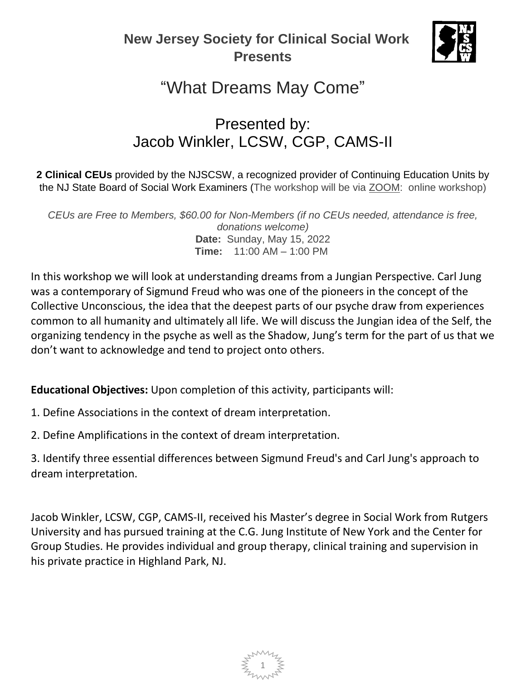### **New Jersey Society for Clinical Social Work Presents**



# "What Dreams May Come"

## Presented by: Jacob Winkler, LCSW, CGP, CAMS-II

**2 Clinical CEUs** provided by the NJSCSW, a recognized provider of Continuing Education Units by the NJ State Board of Social Work Examiners (The workshop will be via **ZOOM:** online workshop)

*CEUs are Free to Members, \$60.00 for Non-Members (if no CEUs needed, attendance is free, donations welcome)* **Date:** Sunday, May 15, 2022 **Time:** 11:00 AM – 1:00 PM

In this workshop we will look at understanding dreams from a Jungian Perspective. Carl Jung was a contemporary of Sigmund Freud who was one of the pioneers in the concept of the Collective Unconscious, the idea that the deepest parts of our psyche draw from experiences common to all humanity and ultimately all life. We will discuss the Jungian idea of the Self, the organizing tendency in the psyche as well as the Shadow, Jung's term for the part of us that we don't want to acknowledge and tend to project onto others.

**Educational Objectives:** Upon completion of this activity, participants will:

- 1. Define Associations in the context of dream interpretation.
- 2. Define Amplifications in the context of dream interpretation.

3. Identify three essential differences between Sigmund Freud's and Carl Jung's approach to dream interpretation.

Jacob Winkler, LCSW, CGP, CAMS-II, received his Master's degree in Social Work from Rutgers University and has pursued training at the C.G. Jung Institute of New York and the Center for Group Studies. He provides individual and group therapy, clinical training and supervision in his private practice in Highland Park, NJ.